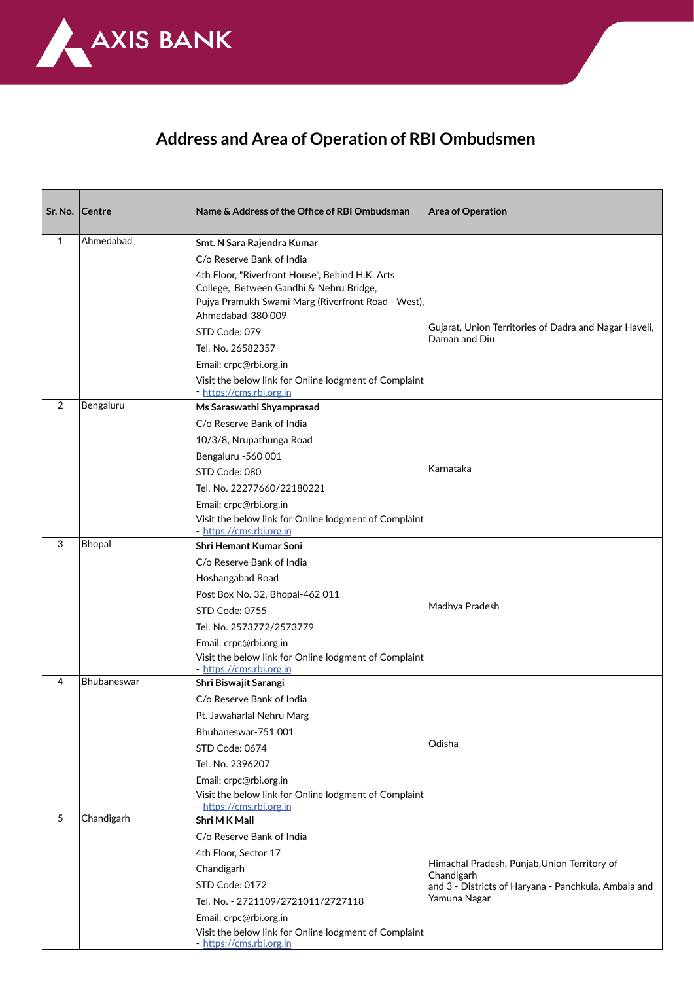

## **Address and Area of Operation of RBI Ombudsmen**

| Sr. No.      | Centre      | Name & Address of the Office of RBI Ombudsman                                                                                                                        | <b>Area of Operation</b>                                               |
|--------------|-------------|----------------------------------------------------------------------------------------------------------------------------------------------------------------------|------------------------------------------------------------------------|
| $\mathbf{1}$ | Ahmedabad   | Smt. N Sara Rajendra Kumar                                                                                                                                           |                                                                        |
|              |             | C/o Reserve Bank of India                                                                                                                                            |                                                                        |
|              |             | 4th Floor, "Riverfront House", Behind H.K. Arts<br>College, Between Gandhi & Nehru Bridge,<br>Pujya Pramukh Swami Marg (Riverfront Road - West),<br>Ahmedabad-380009 |                                                                        |
|              |             | STD Code: 079                                                                                                                                                        | Gujarat, Union Territories of Dadra and Nagar Haveli,<br>Daman and Diu |
|              |             | Tel. No. 26582357                                                                                                                                                    |                                                                        |
|              |             | Email: crpc@rbi.org.in                                                                                                                                               |                                                                        |
|              |             | Visit the below link for Online lodgment of Complaint<br>https://cms.rbi.org.in                                                                                      |                                                                        |
| 2            | Bengaluru   | Ms Saraswathi Shyamprasad                                                                                                                                            |                                                                        |
|              |             | C/o Reserve Bank of India                                                                                                                                            |                                                                        |
|              |             | 10/3/8, Nrupathunga Road                                                                                                                                             |                                                                        |
|              |             | Bengaluru -560 001                                                                                                                                                   |                                                                        |
|              |             | STD Code: 080                                                                                                                                                        | Karnataka                                                              |
|              |             | Tel. No. 22277660/22180221                                                                                                                                           |                                                                        |
|              |             | Email: crpc@rbi.org.in                                                                                                                                               |                                                                        |
|              |             | Visit the below link for Online lodgment of Complaint<br>https://cms.rbi.org.in                                                                                      |                                                                        |
| 3            | Bhopal      | <b>Shri Hemant Kumar Soni</b>                                                                                                                                        |                                                                        |
|              |             | C/o Reserve Bank of India                                                                                                                                            |                                                                        |
|              |             | Hoshangabad Road                                                                                                                                                     |                                                                        |
|              |             | Post Box No. 32, Bhopal-462 011                                                                                                                                      | Madhya Pradesh                                                         |
|              |             | STD Code: 0755                                                                                                                                                       |                                                                        |
|              |             | Tel. No. 2573772/2573779                                                                                                                                             |                                                                        |
|              |             | Email: crpc@rbi.org.in                                                                                                                                               |                                                                        |
|              |             | Visit the below link for Online lodgment of Complaint<br>- https://cms.rbi.org.in                                                                                    |                                                                        |
| 4            | Bhubaneswar | Shri Biswajit Sarangi                                                                                                                                                |                                                                        |
|              |             | C/o Reserve Bank of India                                                                                                                                            |                                                                        |
|              |             | Pt. Jawaharlal Nehru Marg                                                                                                                                            |                                                                        |
|              |             | Bhubaneswar-751 001                                                                                                                                                  |                                                                        |
|              |             | STD Code: 0674                                                                                                                                                       | Odisha                                                                 |
|              |             | Tel. No. 2396207                                                                                                                                                     |                                                                        |
|              |             | Email: crpc@rbi.org.in                                                                                                                                               |                                                                        |
|              |             | Visit the below link for Online lodgment of Complaint<br>https://cms.rbi.org.in                                                                                      |                                                                        |
| 5            | Chandigarh  | Shri M K Mall                                                                                                                                                        |                                                                        |
|              |             | C/o Reserve Bank of India                                                                                                                                            |                                                                        |
|              |             | 4th Floor, Sector 17                                                                                                                                                 | Himachal Pradesh, Punjab, Union Territory of                           |
|              |             | Chandigarh                                                                                                                                                           | Chandigarh                                                             |
|              |             | STD Code: 0172                                                                                                                                                       | and 3 - Districts of Haryana - Panchkula, Ambala and                   |
|              |             | Tel. No. - 2721109/2721011/2727118                                                                                                                                   | Yamuna Nagar                                                           |
|              |             | Email: crpc@rbi.org.in                                                                                                                                               |                                                                        |
|              |             | Visit the below link for Online lodgment of Complaint<br>- https://cms.rbi.org.in                                                                                    |                                                                        |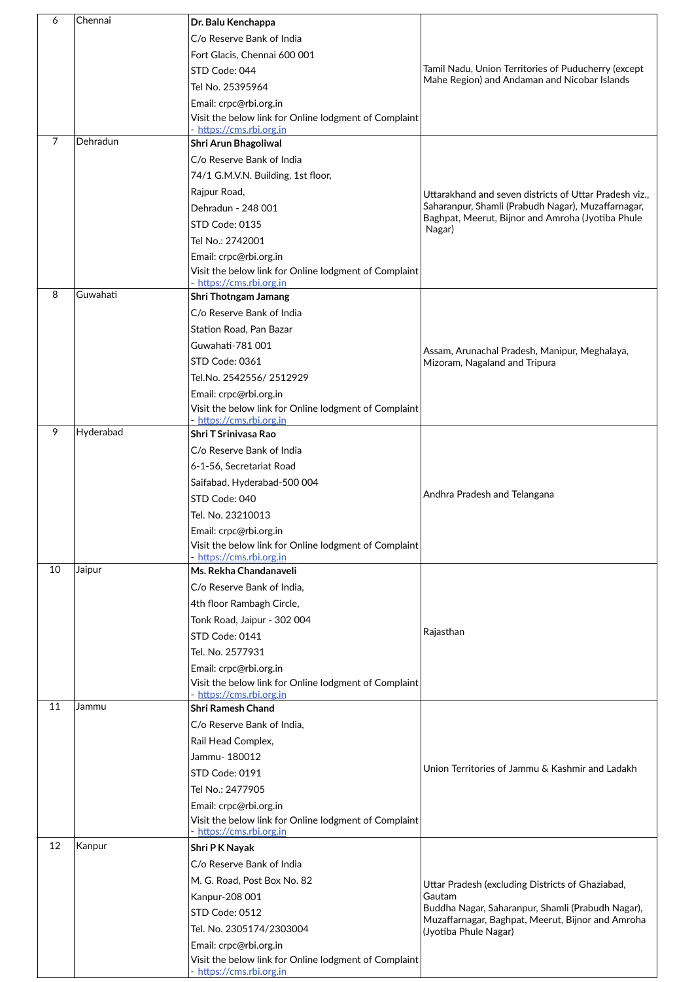| 6  | Chennai   | Dr. Balu Kenchappa                                                                                          |                                                                                                        |
|----|-----------|-------------------------------------------------------------------------------------------------------------|--------------------------------------------------------------------------------------------------------|
|    |           | C/o Reserve Bank of India                                                                                   |                                                                                                        |
|    |           | Fort Glacis, Chennai 600 001                                                                                |                                                                                                        |
|    |           | STD Code: 044                                                                                               | Tamil Nadu, Union Territories of Puducherry (except                                                    |
|    |           | Tel No. 25395964                                                                                            | Mahe Region) and Andaman and Nicobar Islands                                                           |
|    |           |                                                                                                             |                                                                                                        |
|    |           | Email: crpc@rbi.org.in<br>Visit the below link for Online lodgment of Complaint<br>- https://cms.rbi.org.in |                                                                                                        |
| 7  | Dehradun  | Shri Arun Bhagoliwal                                                                                        |                                                                                                        |
|    |           | C/o Reserve Bank of India                                                                                   |                                                                                                        |
|    |           | 74/1 G.M.V.N. Building, 1st floor,                                                                          |                                                                                                        |
|    |           | Rajpur Road,                                                                                                | Uttarakhand and seven districts of Uttar Pradesh viz.,                                                 |
|    |           | Dehradun - 248 001                                                                                          | Saharanpur, Shamli (Prabudh Nagar), Muzaffarnagar,                                                     |
|    |           | STD Code: 0135                                                                                              | Baghpat, Meerut, Bijnor and Amroha (Jyotiba Phule                                                      |
|    |           | Tel No.: 2742001                                                                                            | Nagar)                                                                                                 |
|    |           | Email: crpc@rbi.org.in                                                                                      |                                                                                                        |
|    |           | Visit the below link for Online lodgment of Complaint                                                       |                                                                                                        |
|    |           | - https://cms.rbi.org.in                                                                                    |                                                                                                        |
| 8  | Guwahati  | Shri Thotngam Jamang                                                                                        |                                                                                                        |
|    |           | C/o Reserve Bank of India                                                                                   |                                                                                                        |
|    |           | Station Road, Pan Bazar                                                                                     |                                                                                                        |
|    |           | Guwahati-781 001                                                                                            | Assam, Arunachal Pradesh, Manipur, Meghalaya,                                                          |
|    |           | STD Code: 0361                                                                                              | Mizoram, Nagaland and Tripura                                                                          |
|    |           | Tel.No. 2542556/2512929                                                                                     |                                                                                                        |
|    |           | Email: crpc@rbi.org.in                                                                                      |                                                                                                        |
|    |           | Visit the below link for Online lodgment of Complaint                                                       |                                                                                                        |
| 9  | Hyderabad | - https://cms.rbi.org.in                                                                                    |                                                                                                        |
|    |           | <b>Shri T Srinivasa Rao</b>                                                                                 |                                                                                                        |
|    |           | C/o Reserve Bank of India                                                                                   |                                                                                                        |
|    |           | 6-1-56, Secretariat Road                                                                                    |                                                                                                        |
|    |           | Saifabad, Hyderabad-500 004<br>STD Code: 040                                                                | Andhra Pradesh and Telangana                                                                           |
|    |           | Tel. No. 23210013                                                                                           |                                                                                                        |
|    |           | Email: crpc@rbi.org.in                                                                                      |                                                                                                        |
|    |           | Visit the below link for Online lodgment of Complaint                                                       |                                                                                                        |
|    |           | - https://cms.rbi.org.in                                                                                    |                                                                                                        |
| 10 | Jaipur    | Ms. Rekha Chandanaveli                                                                                      |                                                                                                        |
|    |           | C/o Reserve Bank of India,                                                                                  |                                                                                                        |
|    |           | 4th floor Rambagh Circle,                                                                                   |                                                                                                        |
|    |           | Tonk Road, Jaipur - 302 004                                                                                 |                                                                                                        |
|    |           | STD Code: 0141                                                                                              | Rajasthan                                                                                              |
|    |           | Tel. No. 2577931                                                                                            |                                                                                                        |
|    |           | Email: crpc@rbi.org.in                                                                                      |                                                                                                        |
|    |           | Visit the below link for Online lodgment of Complaint                                                       |                                                                                                        |
| 11 | Jammu     | - https://cms.rbi.org.in<br><b>Shri Ramesh Chand</b>                                                        |                                                                                                        |
|    |           | C/o Reserve Bank of India,                                                                                  |                                                                                                        |
|    |           | Rail Head Complex,                                                                                          |                                                                                                        |
|    |           | Jammu- 180012                                                                                               |                                                                                                        |
|    |           | STD Code: 0191                                                                                              | Union Territories of Jammu & Kashmir and Ladakh                                                        |
|    |           | Tel No.: 2477905                                                                                            |                                                                                                        |
|    |           | Email: crpc@rbi.org.in                                                                                      |                                                                                                        |
|    |           | Visit the below link for Online lodgment of Complaint                                                       |                                                                                                        |
|    |           | https://cms.rbi.org.in                                                                                      |                                                                                                        |
| 12 | Kanpur    | Shri P K Nayak                                                                                              |                                                                                                        |
|    |           | C/o Reserve Bank of India                                                                                   |                                                                                                        |
|    |           | M. G. Road, Post Box No. 82                                                                                 | Uttar Pradesh (excluding Districts of Ghaziabad,                                                       |
|    |           | Kanpur-208 001                                                                                              | Gautam                                                                                                 |
|    |           | STD Code: 0512                                                                                              | Buddha Nagar, Saharanpur, Shamli (Prabudh Nagar),<br>Muzaffarnagar, Baghpat, Meerut, Bijnor and Amroha |
|    |           | Tel. No. 2305174/2303004                                                                                    | (Jyotiba Phule Nagar)                                                                                  |
|    |           | Email: crpc@rbi.org.in                                                                                      |                                                                                                        |
|    |           | Visit the below link for Online lodgment of Complaint                                                       |                                                                                                        |
|    |           | - https://cms.rbi.org.in                                                                                    |                                                                                                        |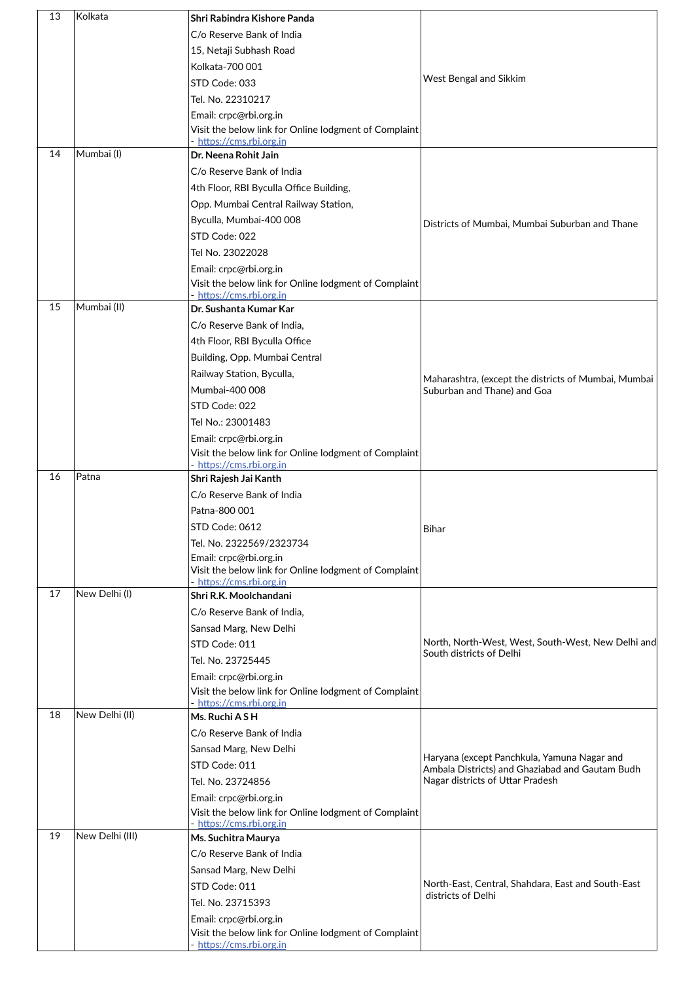| 13 | Kolkata         | Shri Rabindra Kishore Panda                                                       |                                                      |
|----|-----------------|-----------------------------------------------------------------------------------|------------------------------------------------------|
|    |                 | C/o Reserve Bank of India                                                         |                                                      |
|    |                 | 15, Netaji Subhash Road                                                           |                                                      |
|    |                 | Kolkata-700 001                                                                   |                                                      |
|    |                 | STD Code: 033                                                                     | West Bengal and Sikkim                               |
|    |                 | Tel. No. 22310217                                                                 |                                                      |
|    |                 | Email: crpc@rbi.org.in                                                            |                                                      |
|    |                 | Visit the below link for Online lodgment of Complaint                             |                                                      |
|    | Mumbai (I)      | https://cms.rbi.org.in                                                            |                                                      |
| 14 |                 | Dr. Neena Rohit Jain                                                              |                                                      |
|    |                 | C/o Reserve Bank of India                                                         |                                                      |
|    |                 | 4th Floor, RBI Byculla Office Building,                                           |                                                      |
|    |                 | Opp. Mumbai Central Railway Station,                                              |                                                      |
|    |                 | Byculla, Mumbai-400 008                                                           | Districts of Mumbai, Mumbai Suburban and Thane       |
|    |                 | STD Code: 022                                                                     |                                                      |
|    |                 | Tel No. 23022028                                                                  |                                                      |
|    |                 | Email: crpc@rbi.org.in                                                            |                                                      |
|    |                 | Visit the below link for Online lodgment of Complaint<br>- https://cms.rbi.org.in |                                                      |
| 15 | Mumbai (II)     | Dr. Sushanta Kumar Kar                                                            |                                                      |
|    |                 | C/o Reserve Bank of India,                                                        |                                                      |
|    |                 | 4th Floor, RBI Byculla Office                                                     |                                                      |
|    |                 | Building, Opp. Mumbai Central                                                     |                                                      |
|    |                 | Railway Station, Byculla,                                                         | Maharashtra, (except the districts of Mumbai, Mumbai |
|    |                 | Mumbai-400 008                                                                    | Suburban and Thane) and Goa                          |
|    |                 | STD Code: 022                                                                     |                                                      |
|    |                 | Tel No.: 23001483                                                                 |                                                      |
|    |                 | Email: crpc@rbi.org.in                                                            |                                                      |
|    |                 | Visit the below link for Online lodgment of Complaint                             |                                                      |
| 16 | Patna           | - https://cms.rbi.org.in<br>Shri Rajesh Jai Kanth                                 |                                                      |
|    |                 | C/o Reserve Bank of India                                                         |                                                      |
|    |                 | Patna-800 001                                                                     |                                                      |
|    |                 | STD Code: 0612                                                                    |                                                      |
|    |                 | Tel. No. 2322569/2323734                                                          | Bihar                                                |
|    |                 | Email: crpc@rbi.org.in                                                            |                                                      |
|    |                 | Visit the below link for Online lodgment of Complaint                             |                                                      |
| 17 | New Delhi (I)   | - https://cms.rbi.org.in                                                          |                                                      |
|    |                 | Shri R.K. Moolchandani                                                            |                                                      |
|    |                 | C/o Reserve Bank of India,                                                        |                                                      |
|    |                 | Sansad Marg, New Delhi                                                            | North, North-West, West, South-West, New Delhi and   |
|    |                 | STD Code: 011                                                                     | South districts of Delhi                             |
|    |                 | Tel. No. 23725445                                                                 |                                                      |
|    |                 | Email: crpc@rbi.org.in<br>Visit the below link for Online lodgment of Complaint   |                                                      |
|    |                 | https://cms.rbi.org.in                                                            |                                                      |
| 18 | New Delhi (II)  | Ms. Ruchi A S H                                                                   |                                                      |
|    |                 | C/o Reserve Bank of India                                                         |                                                      |
|    |                 | Sansad Marg, New Delhi                                                            | Haryana (except Panchkula, Yamuna Nagar and          |
|    |                 | STD Code: 011                                                                     | Ambala Districts) and Ghaziabad and Gautam Budh      |
|    |                 | Tel. No. 23724856                                                                 | Nagar districts of Uttar Pradesh                     |
|    |                 | Email: crpc@rbi.org.in                                                            |                                                      |
|    |                 | Visit the below link for Online lodgment of Complaint                             |                                                      |
| 19 | New Delhi (III) | - https://cms.rbi.org.in<br>Ms. Suchitra Maurya                                   |                                                      |
|    |                 | C/o Reserve Bank of India                                                         |                                                      |
|    |                 | Sansad Marg, New Delhi                                                            |                                                      |
|    |                 | STD Code: 011                                                                     | North-East, Central, Shahdara, East and South-East   |
|    |                 | Tel. No. 23715393                                                                 | districts of Delhi                                   |
|    |                 | Email: crpc@rbi.org.in                                                            |                                                      |
|    |                 | Visit the below link for Online lodgment of Complaint                             |                                                      |
|    |                 | - https://cms.rbi.org.in                                                          |                                                      |